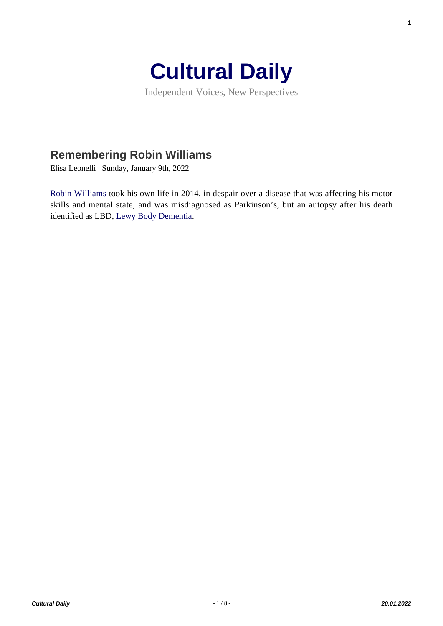

Independent Voices, New Perspectives

## **[Remembering Robin Williams](https://culturaldaily.com/remembering-robin-williams/)**

Elisa Leonelli · Sunday, January 9th, 2022

[Robin Williams](https://en.wikipedia.org/wiki/Robin_Williams) took his own life in 2014, in despair over a disease that was affecting his motor skills and mental state, and was misdiagnosed as Parkinson's, but an autopsy after his death identified as LBD, [Lewy Body Dementia](https://www.hopkinsmedicine.org/health/conditions-and-diseases/dementia/dementia-with-lewy-bodies).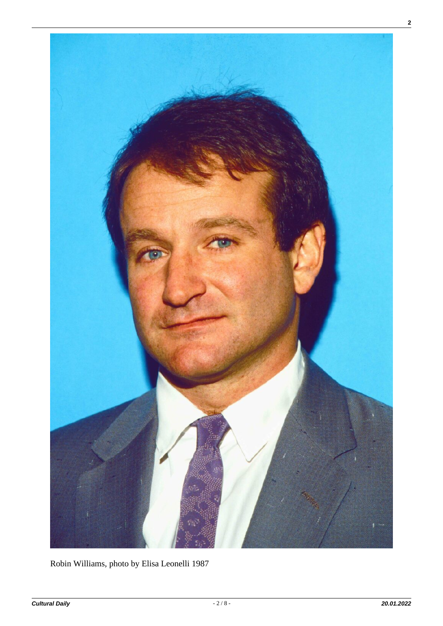

Robin Williams, photo by Elisa Leonelli 1987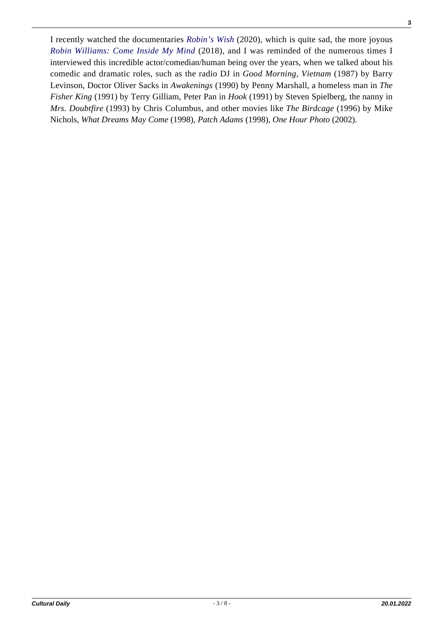I recently watched the documentaries *[Robin's Wish](https://www.youtube.com/watch?v=sNNw8l0wg0I)* (2020), which is quite sad, the more joyous *[Robin Williams: Come Inside My Mind](https://www.imdb.com/title/tt7689966/)* (2018), and I was reminded of the numerous times I interviewed this incredible actor/comedian/human being over the years, when we talked about his comedic and dramatic roles, such as the radio DJ in *Good Morning, Vietnam* (1987) by Barry Levinson, Doctor Oliver Sacks in *Awakenings* (1990) by Penny Marshall, a homeless man in *The Fisher King* (1991) by Terry Gilliam, Peter Pan in *Hook* (1991) by Steven Spielberg, the nanny in *Mrs. Doubtfire* (1993) by Chris Columbus, and other movies like *The Birdcage* (1996) by Mike Nichols, *What Dreams May Come* (1998), *Patch Adams* (1998), *One Hour Photo* (2002).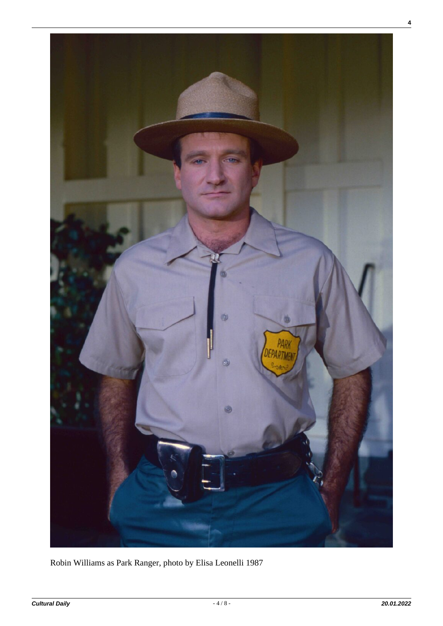

Robin Williams as Park Ranger, photo by Elisa Leonelli 1987

**4**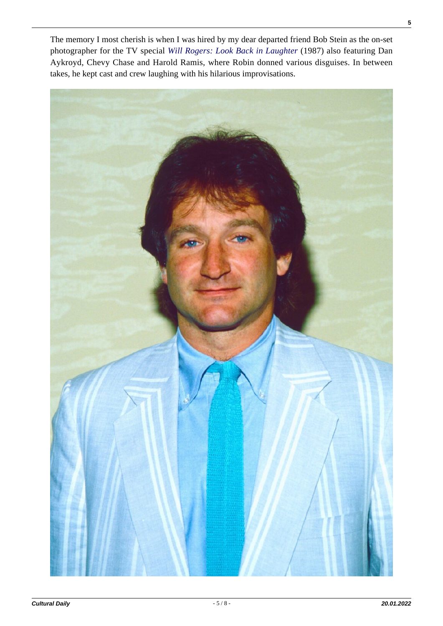The memory I most cherish is when I was hired by my dear departed friend Bob Stein as the on-set photographer for the TV special *[Will Rogers: Look Back in Laughter](https://www.youtube.com/watch?v=eVZdNc_eyyQ)* (1987) also featuring Dan Aykroyd, Chevy Chase and Harold Ramis, where Robin donned various disguises. In between takes, he kept cast and crew laughing with his hilarious improvisations.

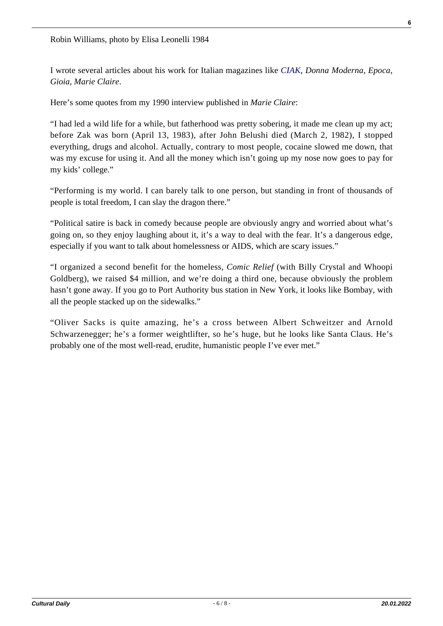I wrote several articles about his work for Italian magazines like *[CIAK](https://ciakelisaleonelli.wordpress.com/2015/04/01/robin-williams-1991/)*, *Donna Moderna*, *Epoca*, *Gioia*, *Marie Claire*.

Here's some quotes from my 1990 interview published in *Marie Claire*:

"I had led a wild life for a while, but fatherhood was pretty sobering, it made me clean up my act; before Zak was born (April 13, 1983), after John Belushi died (March 2, 1982), I stopped everything, drugs and alcohol. Actually, contrary to most people, cocaine slowed me down, that was my excuse for using it. And all the money which isn't going up my nose now goes to pay for my kids' college."

"Performing is my world. I can barely talk to one person, but standing in front of thousands of people is total freedom, I can slay the dragon there."

"Political satire is back in comedy because people are obviously angry and worried about what's going on, so they enjoy laughing about it, it's a way to deal with the fear. It's a dangerous edge, especially if you want to talk about homelessness or AIDS, which are scary issues."

"I organized a second benefit for the homeless, *Comic Relief* (with Billy Crystal and Whoopi Goldberg), we raised \$4 million, and we're doing a third one, because obviously the problem hasn't gone away. If you go to Port Authority bus station in New York, it looks like Bombay, with all the people stacked up on the sidewalks."

"Oliver Sacks is quite amazing, he's a cross between Albert Schweitzer and Arnold Schwarzenegger; he's a former weightlifter, so he's huge, but he looks like Santa Claus. He's probably one of the most well-read, erudite, humanistic people I've ever met."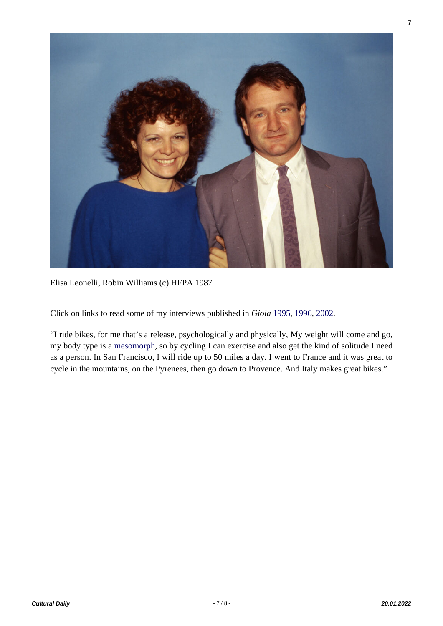

Elisa Leonelli, Robin Williams (c) HFPA 1987

Click on links to read some of my interviews published in *Gioia* [1995](https://gioiaelisaleonelli.wordpress.com/2015/04/25/robin-williams-1995/), [1996](https://gioiaelisaleonelli.wordpress.com/2015/04/29/robin-williams-1996/)[, 2002](https://gioiaelisaleonelli.wordpress.com/2015/06/13/robin-williams-2002/).

"I ride bikes, for me that's a release, psychologically and physically, My weight will come and go, my body type is a [mesomorph](https://www.vedantu.com/biology/mesomorph), so by cycling I can exercise and also get the kind of solitude I need as a person. In San Francisco, I will ride up to 50 miles a day. I went to France and it was great to cycle in the mountains, on the Pyrenees, then go down to Provence. And Italy makes great bikes."